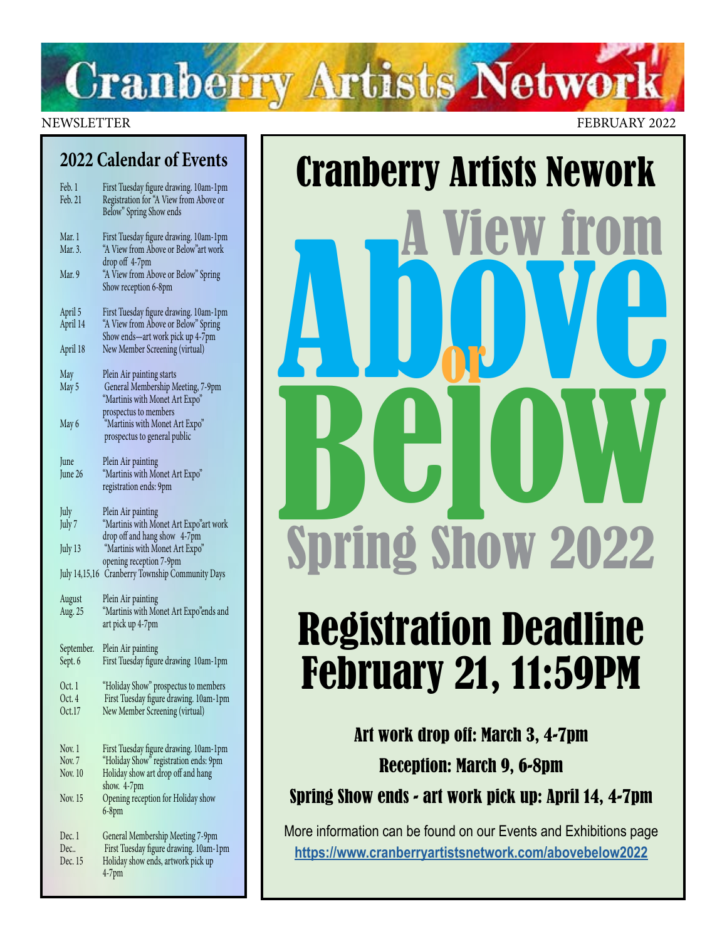# **Cranberry Artists Network**

NEWSLETTER FEBRUARY 2022

### **2022 Calendar of Events**

| Feb. 1<br>Feb. 21     | First Tuesday figure drawing. 10am-1pm<br>Registration for "A View from Above or<br>Below" Spring Show ends       |
|-----------------------|-------------------------------------------------------------------------------------------------------------------|
| Mar. 1<br>Mar. 3.     | First Tuesday figure drawing. 10am-1pm<br>"A View from Above or Below"art work                                    |
| Mar. 9                | drop off 4-7pm<br>"A View from Above or Below" Spring<br>Show reception 6-8pm                                     |
| April 5<br>April 14   | First Tuesday figure drawing. 10am-1pm<br>"A View from Above or Below" Spring<br>Show ends-art work pick up 4-7pm |
| April 18              | New Member Screening (virtual)                                                                                    |
| May<br>May 5          | Plein Air painting starts<br>General Membership Meeting, 7-9pm<br>"Martinis with Monet Art Expo"                  |
| May 6                 | prospectus to members<br>"Martinis with Monet Art Expo"<br>prospectus to general public                           |
| June<br>June 26       | Plein Air painting<br>"Martinis with Monet Art Expo"<br>registration ends: 9pm                                    |
| July<br>July 7        | Plein Air painting<br>"Martinis with Monet Art Expo"art work                                                      |
| July 13               | drop off and hang show 4-7pm<br>"Martinis with Monet Art Expo"                                                    |
| July 14,15,16         | opening reception 7-9pm<br>Cranberry Township Community Days                                                      |
| August<br>Aug. 25     | Plein Air painting<br>"Martinis with Monet Art Expo"ends and<br>art pick up 4-7pm                                 |
| September.<br>Sept. 6 | Plein Air painting<br>First Tuesday figure drawing 10am-1pm                                                       |
| Oct. 1<br>Oct. 4      | "Holiday Show" prospectus to members<br>First Tuesday figure drawing. 10am-1pm                                    |
| Oct.17                | New Member Screening (virtual)                                                                                    |
| Nov. 1<br>Nov. 7      | First Tuesday figure drawing. 10am-1pm<br>"Holiday Show" registration ends: 9pm                                   |
| Nov. 10               | Holiday show art drop off and hang<br>show. 4-7pm                                                                 |
| Nov. 15               | Opening reception for Holiday show<br>$6-8$ pm                                                                    |
| Dec. 1                | General Membership Meeting 7-9pm                                                                                  |
| Dec<br>Dec. 15        | First Tuesday figure drawing. 10am-1pm<br>Holiday show ends, artwork pick up                                      |
|                       | $4-7$ pm                                                                                                          |

# Cranberry Artists Nework<br> **A View from A**<br> **A DOW YOU** Below<br>Shrind Shaw 2022 Spring Show 2022 or

# Registration Deadline February 21, 11:59PM

Art work drop off: March 3, 4-7pm Reception: March 9, 6-8pm

Spring Show ends - art work pick up: April 14, 4-7pm

More information can be found on our Events and Exhibitions page **<https://www.cranberryartistsnetwork.com/abovebelow2022>**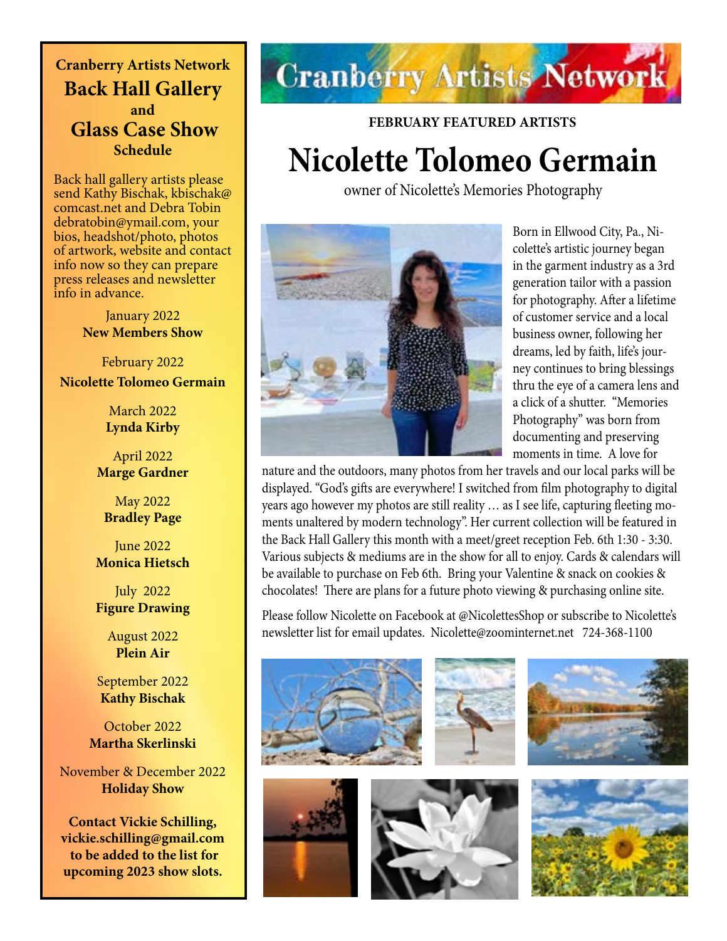**Cranberry Artists Network Back Hall Gallery and Glass Case Show Schedule** 

Back hall gallery artists please send Kathy Bischak, kbischak@ comcast.net and Debra Tobin debratobin@ymail.com, your bios, headshot/photo, photos of artwork, website and contact info now so they can prepare press releases and newsletter info in advance.

> January 2022 **New Members Show**

February 2022 **Nicolette Tolomeo Germain**

> March 2022 **Lynda Kirby**

April 2022 **Marge Gardner**

May 2022 **Bradley Page**

June 2022 **Monica Hietsch**

July 2022 **Figure Drawing**

> August 2022 **Plein Air**

September 2022 **Kathy Bischak**

October 2022 **Martha Skerlinski**

November & December 2022 **Holiday Show**

**Contact Vickie Schilling, vickie.schilling@gmail.com to be added to the list for upcoming 2023 show slots.**

# **Cranberry Artists Network**

**FEBRUARY FEATURED ARTISTS Nicolette Tolomeo Germain**

owner of Nicolette's Memories Photography



Born in Ellwood City, Pa., Nicolette's artistic journey began in the garment industry as a 3rd generation tailor with a passion for photography. After a lifetime of customer service and a local business owner, following her dreams, led by faith, life's journey continues to bring blessings thru the eye of a camera lens and a click of a shutter. "Memories Photography" was born from documenting and preserving moments in time. A love for

nature and the outdoors, many photos from her travels and our local parks will be displayed. "God's gifts are everywhere! I switched from film photography to digital years ago however my photos are still reality … as I see life, capturing fleeting moments unaltered by modern technology". Her current collection will be featured in the Back Hall Gallery this month with a meet/greet reception Feb. 6th 1:30 - 3:30. Various subjects & mediums are in the show for all to enjoy. Cards & calendars will be available to purchase on Feb 6th. Bring your Valentine & snack on cookies & chocolates! There are plans for a future photo viewing & purchasing online site.

Please follow Nicolette on Facebook at @NicolettesShop or subscribe to Nicolette's newsletter list for email updates. Nicolette@zoominternet.net 724-368-1100

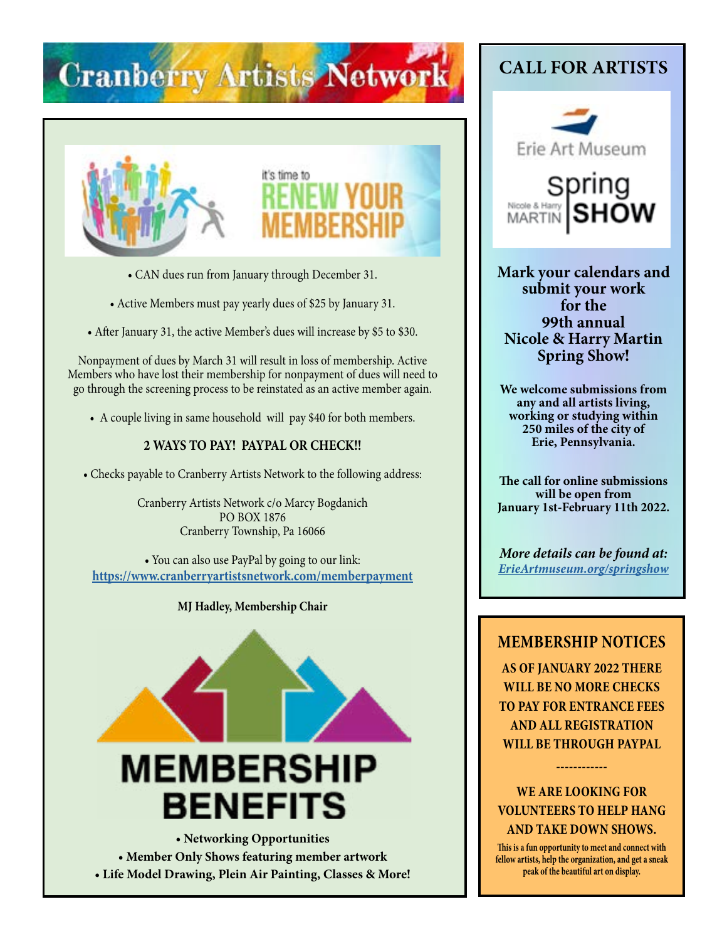# **Cranberry Artists Network**





- CAN dues run from January through December 31.
- Active Members must pay yearly dues of \$25 by January 31.
- After January 31, the active Member's dues will increase by \$5 to \$30.

Nonpayment of dues by March 31 will result in loss of membership. Active Members who have lost their membership for nonpayment of dues will need to go through the screening process to be reinstated as an active member again.

• A couple living in same household will pay \$40 for both members.

### **2 WAYS TO PAY! PAYPAL OR CHECK!!**

• Checks payable to Cranberry Artists Network to the following address:

Cranberry Artists Network c/o Marcy Bogdanich PO BOX 1876 Cranberry Township, Pa 16066

• You can also use PayPal by going to our link: **<https://www.cranberryartistsnetwork.com/memberpayment>**

### **MJ Hadley, Membership Chair**



**• Member Only Shows featuring member artwork • Life Model Drawing, Plein Air Painting, Classes & More!**

# **CALL FOR ARTISTS**



Spring Nicole & Harry **MARTIN** 

**Mark your calendars and submit your work for the 99th annual Nicole & Harry Martin Spring Show!**

**We welcome submissions from any and all artists living, working or studying within 250 miles of the city of Erie, Pennsylvania.** 

**The call for online submissions will be open from January 1st-February 11th 2022.**

*More details can be found at: [ErieArtmuseum.org/springshow](https://ErieArtmuseum.org/springshow)*

### **MEMBERSHIP NOTICES**

**AS OF JANUARY 2022 THERE WILL BE NO MORE CHECKS TO PAY FOR ENTRANCE FEES AND ALL REGISTRATION WILL BE THROUGH PAYPAL** 

**WE ARE LOOKING FOR VOLUNTEERS TO HELP HANG AND TAKE DOWN SHOWS.**

**------------**

**This is a fun opportunity to meet and connect with fellow artists, help the organization, and get a sneak peak of the beautiful art on display.**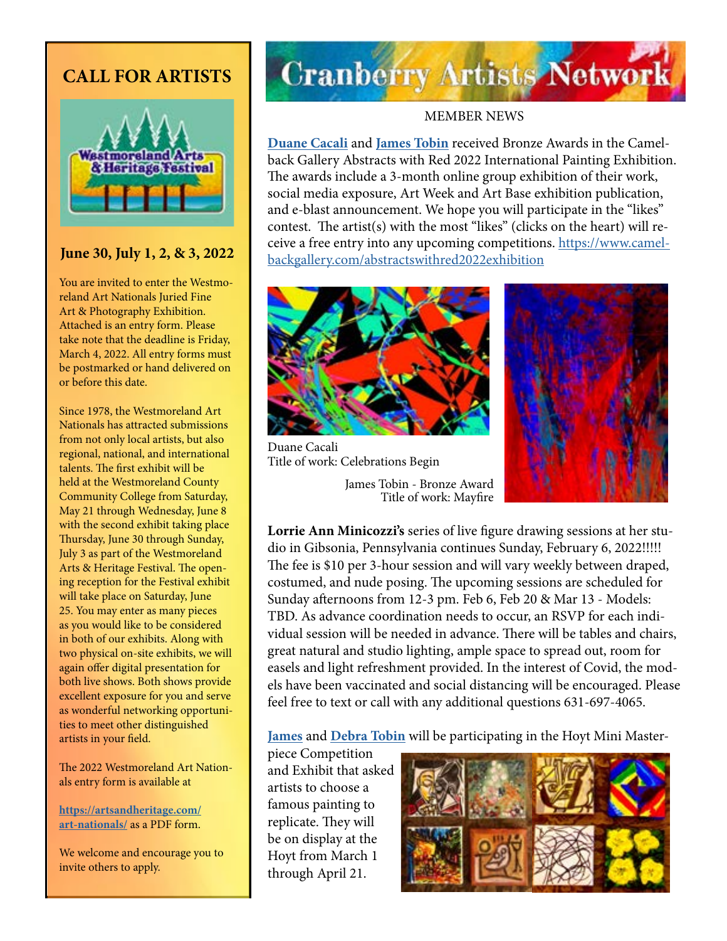## **CALL FOR ARTISTS**



### **June 30, July 1, 2, & 3, 2022**

You are invited to enter the Westmoreland Art Nationals Juried Fine Art & Photography Exhibition. Attached is an entry form. Please take note that the deadline is Friday, March 4, 2022. All entry forms must be postmarked or hand delivered on or before this date.

Since 1978, the Westmoreland Art Nationals has attracted submissions from not only local artists, but also regional, national, and international talents. The first exhibit will be held at the Westmoreland County Community College from Saturday, May 21 through Wednesday, June 8 with the second exhibit taking place Thursday, June 30 through Sunday, July 3 as part of the Westmoreland Arts & Heritage Festival. The opening reception for the Festival exhibit will take place on Saturday, June 25. You may enter as many pieces as you would like to be considered in both of our exhibits. Along with two physical on-site exhibits, we will again offer digital presentation for both live shows. Both shows provide excellent exposure for you and serve as wonderful networking opportunities to meet other distinguished artists in your field.

The 2022 Westmoreland Art Nationals entry form is available at

**[https://artsandheritage.com/](https://artsandheritage.com/art-nationals/) [art-nationals/](https://artsandheritage.com/art-nationals/)** as a PDF form.

We welcome and encourage you to invite others to apply.

# **Cranberry Artists Network**

### MEMBER NEWS

**[Duane Cacali](http://www.dcdigitalcanvas.com/)** and **[James Tobin](https://jamestobinart.com/)** received Bronze Awards in the Camelback Gallery Abstracts with Red 2022 International Painting Exhibition. The awards include a 3-month online group exhibition of their work, social media exposure, Art Week and Art Base exhibition publication, and e-blast announcement. We hope you will participate in the "likes" contest. The artist(s) with the most "likes" (clicks on the heart) will receive a free entry into any upcoming competitions. [https://www.camel](https://www.camelbackgallery.com/abstractswithred2022exhibition)[backgallery.com/abstractswithred2022exhibition](https://www.camelbackgallery.com/abstractswithred2022exhibition)



Duane Cacali Title of work: Celebrations Begin





**Lorrie Ann Minicozzi's** series of live figure drawing sessions at her studio in Gibsonia, Pennsylvania continues Sunday, February 6, 2022!!!!! The fee is \$10 per 3-hour session and will vary weekly between draped, costumed, and nude posing. The upcoming sessions are scheduled for Sunday afternoons from 12-3 pm. Feb 6, Feb 20 & Mar 13 - Models: TBD. As advance coordination needs to occur, an RSVP for each individual session will be needed in advance. There will be tables and chairs, great natural and studio lighting, ample space to spread out, room for easels and light refreshment provided. In the interest of Covid, the models have been vaccinated and social distancing will be encouraged. Please feel free to text or call with any additional questions 631-697-4065.

**[James](https://jamestobinart.com/)** and **[Debra Tobin](http://www.debratobinart.com)** will be participating in the Hoyt Mini Master-

piece Competition and Exhibit that asked artists to choose a famous painting to replicate. They will be on display at the Hoyt from March 1 through April 21.

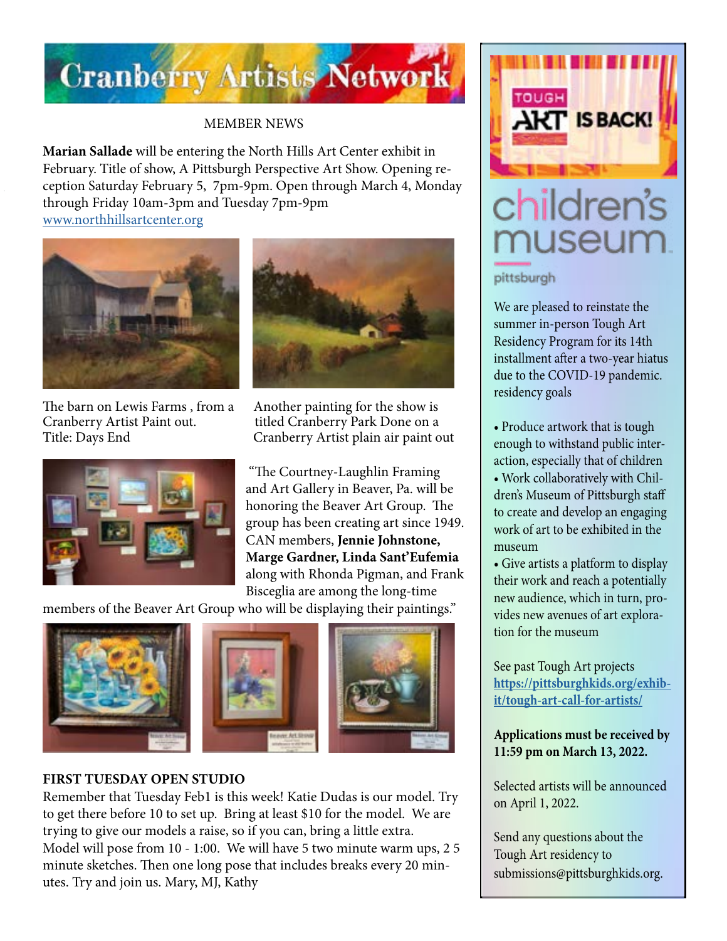

### MEMBER NEWS

**Marian Sallade** will be entering the North Hills Art Center exhibit in February. Title of show, A Pittsburgh Perspective Art Show. Opening reception Saturday February 5, 7pm-9pm. Open through March 4, Monday through Friday 10am-3pm and Tuesday 7pm-9pm [www.northhillsartcenter.org](http://www.northhillsartcenter.org)



The barn on Lewis Farms, from a Another painting for the show is Cranberry Artist Paint out. titled Cranberry Park Done on a





Title: Days End Cranberry Artist plain air paint out

"The Courtney-Laughlin Framing and Art Gallery in Beaver, Pa. will be honoring the Beaver Art Group. The group has been creating art since 1949. CAN members, **Jennie Johnstone, Marge Gardner, Linda Sant'Eufemia** along with Rhonda Pigman, and Frank Bisceglia are among the long-time

members of the Beaver Art Group who will be displaying their paintings."



### **FIRST TUESDAY OPEN STUDIO**

Remember that Tuesday Feb1 is this week! Katie Dudas is our model. Try to get there before 10 to set up. Bring at least \$10 for the model. We are trying to give our models a raise, so if you can, bring a little extra. Model will pose from 10 - 1:00. We will have 5 two minute warm ups, 2 5 minute sketches. Then one long pose that includes breaks every 20 minutes. Try and join us. Mary, MJ, Kathy



# children's museum

### pittsburgh

We are pleased to reinstate the summer in-person Tough Art Residency Program for its 14th installment after a two-year hiatus due to the COVID-19 pandemic. residency goals

- Produce artwork that is tough enough to withstand public interaction, especially that of children • Work collaboratively with Children's Museum of Pittsburgh staff to create and develop an engaging
- work of art to be exhibited in the museum
- Give artists a platform to display their work and reach a potentially new audience, which in turn, provides new avenues of art exploration for the museum

See past Tough Art projects **[https://pittsburghkids.org/exhib](https://pittsburghkids.org/exhibit/tough-art-call-for-artists/)[it/tough-art-call-for-artists/](https://pittsburghkids.org/exhibit/tough-art-call-for-artists/)**

### **Applications must be received by 11:59 pm on March 13, 2022.**

Selected artists will be announced on April 1, 2022.

Send any questions about the Tough Art residency to submissions@pittsburghkids.org.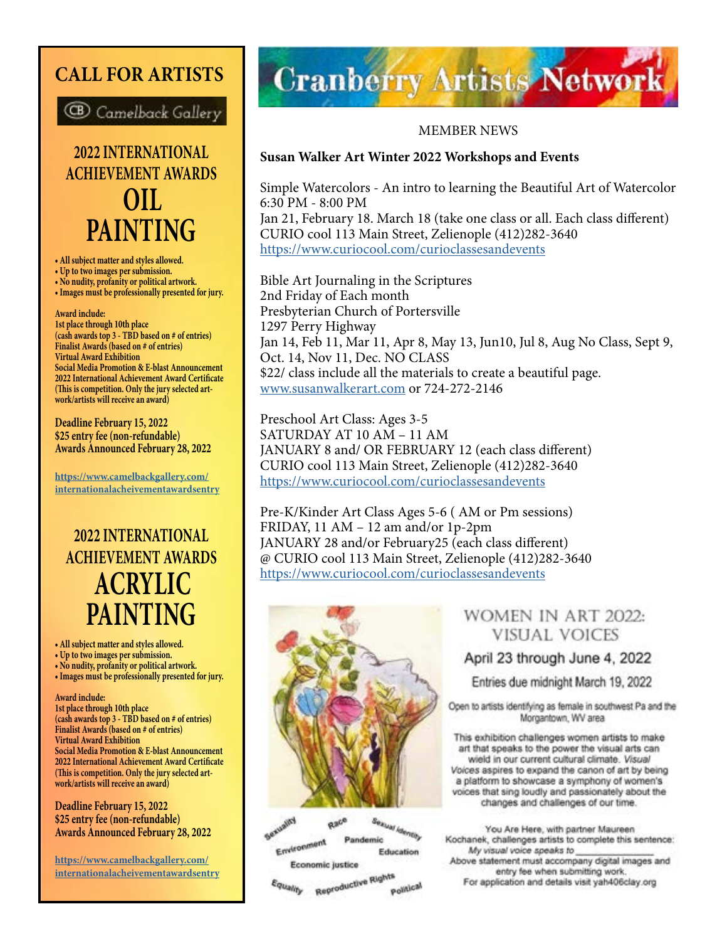# **CALL FOR ARTISTS**



**2022 INTERNATIONAL ACHIEVEMENT AWARDS OIL PAINTING**

**• All subject matter and styles allowed.** 

- **Up to two images per submission.**
- **No nudity, profanity or political artwork. • Images must be professionally presented for jury.**

#### **Award include:**

**1st place through 10th place (cash awards top 3 - TBD based on # of entries) Finalist Awards (based on # of entries) Virtual Award Exhibition Social Media Promotion & E-blast Announcement 2022 International Achievement Award Certificate (This is competition. Only the jury selected artwork/artists will receive an award)**

**Deadline February 15, 2022 \$25 entry fee (non-refundable) Awards Announced February 28, 2022**

**[https://www.camelbackgallery.com/](https://www.camelbackgallery.com/internationalacheivementawardsentry) [internationalacheivementawardsentry](https://www.camelbackgallery.com/internationalacheivementawardsentry)**

# **2022 INTERNATIONAL ACHIEVEMENT AWARDS ACRYLIC PAINTING**

- **All subject matter and styles allowed.**
- **Up to two images per submission.**
- **No nudity, profanity or political artwork.**
- **Images must be professionally presented for jury.**

**Award include:**

**1st place through 10th place (cash awards top 3 - TBD based on # of entries) Finalist Awards (based on # of entries) Virtual Award Exhibition Social Media Promotion & E-blast Announcement 2022 International Achievement Award Certificate (This is competition. Only the jury selected artwork/artists will receive an award)**

#### **Deadline February 15, 2022 \$25 entry fee (non-refundable) Awards Announced February 28, 2022**

**https://www.camelbackgallery.com/ internationalacheivementawardsentry**

# **Cranberry Artists Network**

### MEMBER NEWS

### **Susan Walker Art Winter 2022 Workshops and Events**

Simple Watercolors - An intro to learning the Beautiful Art of Watercolor 6:30 PM - 8:00 PM Jan 21, February 18. March 18 (take one class or all. Each class different) CURIO cool 113 Main Street, Zelienople (412)282-3640 <https://www.curiocool.com/curioclassesandevents>

Bible Art Journaling in the Scriptures 2nd Friday of Each month Presbyterian Church of Portersville 1297 Perry Highway Jan 14, Feb 11, Mar 11, Apr 8, May 13, Jun10, Jul 8, Aug No Class, Sept 9, Oct. 14, Nov 11, Dec. NO CLASS \$22/ class include all the materials to create a beautiful page. [www.susanwalkerart.com](http://www.susanwalkerart.com) or 724-272-2146

Preschool Art Class: Ages 3-5 SATURDAY AT 10 AM – 11 AM JANUARY 8 and/ OR FEBRUARY 12 (each class different) CURIO cool 113 Main Street, Zelienople (412)282-3640 <https://www.curiocool.com/curioclassesandevents>

Pre-K/Kinder Art Class Ages 5-6 ( AM or Pm sessions) FRIDAY, 11 AM – 12 am and/or 1p-2pm JANUARY 28 and/or February25 (each class different) @ CURIO cool 113 Main Street, Zelienople (412)282-3640 <https://www.curiocool.com/curioclassesandevents>



Sexual Identity<br>mic **Page** Race Environment Pandemic Education Economic justice

Reproductive Rights quality Political

### WOMEN IN ART 2022: **VISUAL VOICES**

### April 23 through June 4, 2022

Entries due midnight March 19, 2022

Open to artists identifying as female in southwest Pa and the Morgantown, WV area

This exhibition challenges women artists to make art that speaks to the power the visual arts can wield in our current cultural climate. Visual Voices aspires to expand the canon of art by being a platform to showcase a symphony of women's voices that sing loudly and passionately about the changes and challenges of our time.

You Are Here, with partner Maureen Kochanek, challenges artists to complete this sentence: My visual voice speaks to Above statement must accompany digital images and entry fee when submitting work. For application and details visit yah406clay.org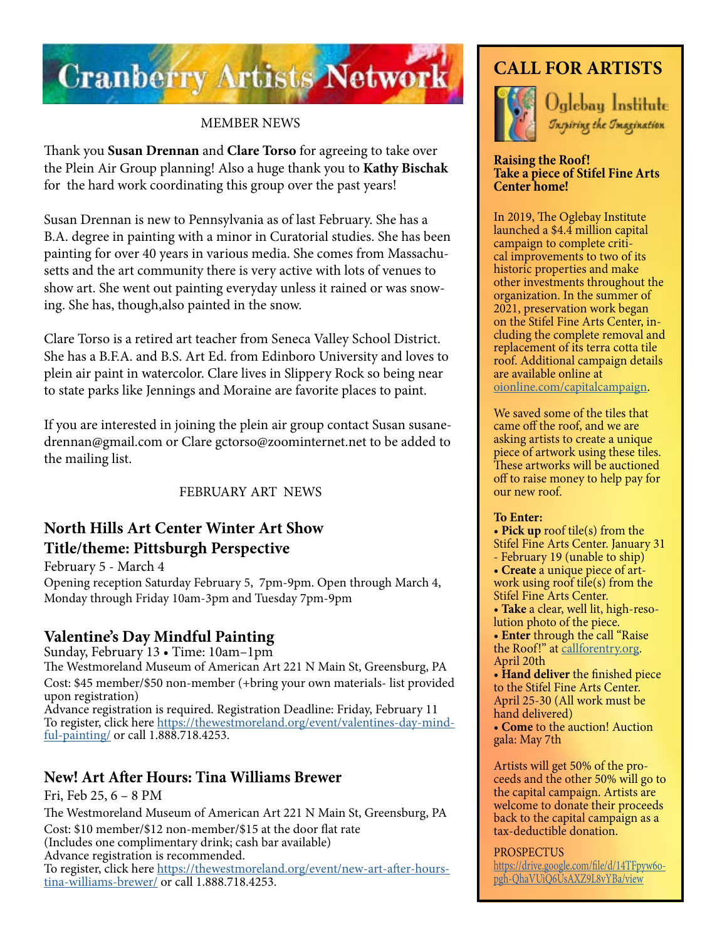

### MEMBER NEWS

Thank you **Susan Drennan** and **Clare Torso** for agreeing to take over the Plein Air Group planning! Also a huge thank you to **Kathy Bischak** for the hard work coordinating this group over the past years!

Susan Drennan is new to Pennsylvania as of last February. She has a B.A. degree in painting with a minor in Curatorial studies. She has been painting for over 40 years in various media. She comes from Massachusetts and the art community there is very active with lots of venues to show art. She went out painting everyday unless it rained or was snowing. She has, though,also painted in the snow.

Clare Torso is a retired art teacher from Seneca Valley School District. She has a B.F.A. and B.S. Art Ed. from Edinboro University and loves to plein air paint in watercolor. Clare lives in Slippery Rock so being near to state parks like Jennings and Moraine are favorite places to paint.

If you are interested in joining the plein air group contact Susan susanedrennan@gmail.com or Clare gctorso@zoominternet.net to be added to the mailing list.

FEBRUARY ART NEWS

### **North Hills Art Center Winter Art Show Title/theme: Pittsburgh Perspective**

February 5 - March 4 Opening reception Saturday February 5, 7pm-9pm. Open through March 4, Monday through Friday 10am-3pm and Tuesday 7pm-9pm

### **Valentine's Day Mindful Painting**

Sunday, February 13 • Time: 10am–1pm

The Westmoreland Museum of American Art 221 N Main St, Greensburg, PA Cost: \$45 member/\$50 non-member (+bring your own materials- list provided upon registration)

Advance registration is required. Registration Deadline: Friday, February 11 To register, click here [https://thewestmoreland.org/event/valentines-day-mind](https://thewestmoreland.org/event/valentines-day-mindful-painting/)[ful-painting/](https://thewestmoreland.org/event/valentines-day-mindful-painting/) or call 1.888.718.4253.

### **New! Art After Hours: Tina Williams Brewer**

Fri, Feb 25, 6 – 8 PM The Westmoreland Museum of American Art 221 N Main St, Greensburg, PA Cost: \$10 member/\$12 non-member/\$15 at the door flat rate (Includes one complimentary drink; cash bar available)

Advance registration is recommended.

To register, click here [https://thewestmoreland.org/event/new-art-after-hours](https://thewestmoreland.org/event/new-art-after-hours-tina-williams-brewer/)[tina-williams-brewer/](https://thewestmoreland.org/event/new-art-after-hours-tina-williams-brewer/) or call 1.888.718.4253.

## **CALL FOR ARTISTS**



Oglebau Institute Inspiring the Imagination

#### **Raising the Roof! Take a piece of Stifel Fine Arts Center home!**

In 2019, The Oglebay Institute launched a \$4.4 million capital campaign to complete critical improvements to two of its historic properties and make other investments throughout the organization. In the summer of 2021, preservation work began on the Stifel Fine Arts Center, in cluding the complete removal and replacement of its terra cotta tile roof. Additional campaign details are available online at [oionline.com/capitalcampaign](http://oionline.com/capitalcampaign/).

We saved some of the tiles that came off the roof, and we are asking artists to create a unique piece of artwork using these tiles. These artworks will be auctioned off to raise money to help pay for our new roof.

### **To Enter:**

- **Pick up** roof tile(s) from the
- Stifel Fine Arts Center. January 31
- February 19 (unable to ship)
- **Create** a unique piece of artwork using roof tile(s) from the Stifel Fine Arts Center.
- **Take** a clear, well lit, high-resolution photo of the piece.

• **Enter** through the call "Raise the Roof!" at [callforentry.org](https://www.callforentry.org/). April 20th

• **Hand deliver** the finished piece to the Stifel Fine Arts Center. April 25-30 (All work must be hand delivered)

• **Come** to the auction! Auction gala: May 7th

Artists will get 50% of the proceeds and the other 50% will go to the capital campaign. Artists are welcome to donate their proceeds back to the capital campaign as a tax-deductible donation.

### PROSPECTUS

[https://drive.google.com/file/d/14TFpyw6o](https://drive.google.com/file/d/14TFpyw6opgh-QhaVUiQ6UsAXZ9L8vYBa/view)[pgh-QhaVUiQ6UsAXZ9L8vYBa/view](https://drive.google.com/file/d/14TFpyw6opgh-QhaVUiQ6UsAXZ9L8vYBa/view)